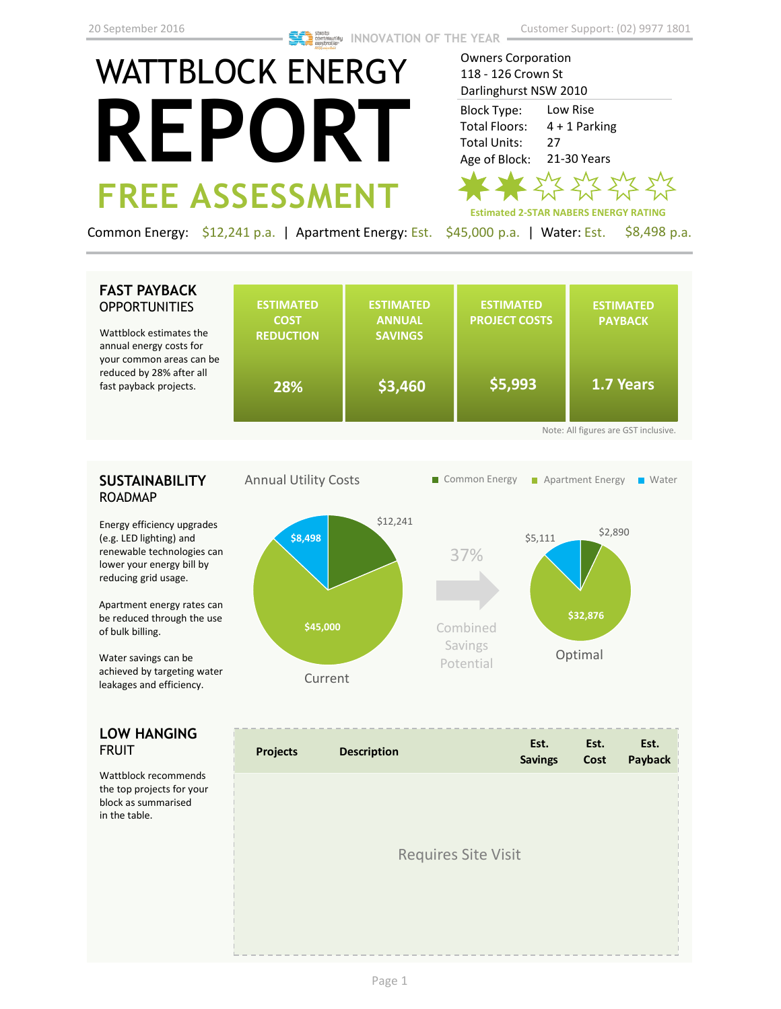Owners Corporation

# WATTBLOCK ENERGY **REPORT FREE ASSESSMENT**

118 - 126 Crown St Darlinghurst NSW 2010 Block Type: Low Rise Total Floors: 4 + 1 Parking Total Units: 27 Age of Block: 21-30 Years ד  $777$ **Estimated 2-STAR NABERS ENERGY RATING**

Common Energy: \$12,241 p.a. | Apartment Energy: Est. \$45,000 p.a. | Water: Est. \$8,498 p.a.

#### **FAST PAYBACK OPPORTUNITIES**

Wattblock estimates the annual energy costs for your common areas can be reduced by 28% after all fast payback projects.

|                                      | <b>ESTIMATED</b><br><b>COST</b><br><b>REDUCTION</b> | <b>ESTIMATED</b><br><b>ANNUAL</b><br><b>SAVINGS</b> | <b>ESTIMATED</b><br><b>PROJECT COSTS</b> | <b>ESTIMATED</b><br><b>PAYBACK</b> |  |
|--------------------------------------|-----------------------------------------------------|-----------------------------------------------------|------------------------------------------|------------------------------------|--|
| be                                   | 28%                                                 | \$3,460"                                            | \$5,993                                  | 1.7 Years                          |  |
| Note: All figures are GST inclusive. |                                                     |                                                     |                                          |                                    |  |

### **SUSTAINABILITY** ROADMAP

Energy efficiency upgrades (e.g. LED lighting) and renewable technologies can lower your energy bill by reducing grid usage.

Apartment energy rates can be reduced through the use of bulk billing.

Water savings can be achieved by targeting water leakages and efficiency.

#### **LOW HANGING**  FRUIT

Wattblock recommends the top projects for your block as summarised in the table.



| <b>Projects</b>            | <b>Description</b> | Est.<br><b>Savings</b> | Est.<br>Cost | Est.<br>Payback |  |
|----------------------------|--------------------|------------------------|--------------|-----------------|--|
|                            |                    |                        |              |                 |  |
| <b>Requires Site Visit</b> |                    |                        |              |                 |  |
|                            |                    |                        |              |                 |  |
|                            |                    |                        |              |                 |  |